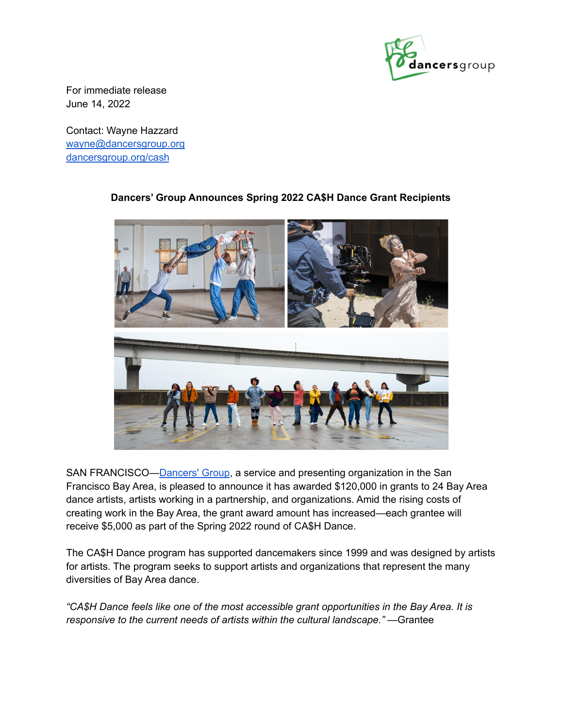

For immediate release June 14, 2022

Contact: Wayne Hazzard [wayne@dancersgroup.org](mailto:wayne@dancersgroup.org) [dancersgroup.org/cash](http://www.dancersgroup.org/cash)



# **Dancers' Group Announces Spring 2022 CA\$H Dance Grant Recipients**

SAN FRANCISCO[—Dancers'](https://dancersgroup.org/) Group, a service and presenting organization in the San Francisco Bay Area, is pleased to announce it has awarded \$120,000 in grants to 24 Bay Area dance artists, artists working in a partnership, and organizations. Amid the rising costs of creating work in the Bay Area, the grant award amount has increased—each grantee will receive \$5,000 as part of the Spring 2022 round of CA\$H Dance.

The CA\$H Dance program has supported dancemakers since 1999 and was designed by artists for artists. The program seeks to support artists and organizations that represent the many diversities of Bay Area dance.

*"CA\$H Dance feels like one of the most accessible grant opportunities in the Bay Area. It is responsive to the current needs of artists within the cultural landscape." —*Grantee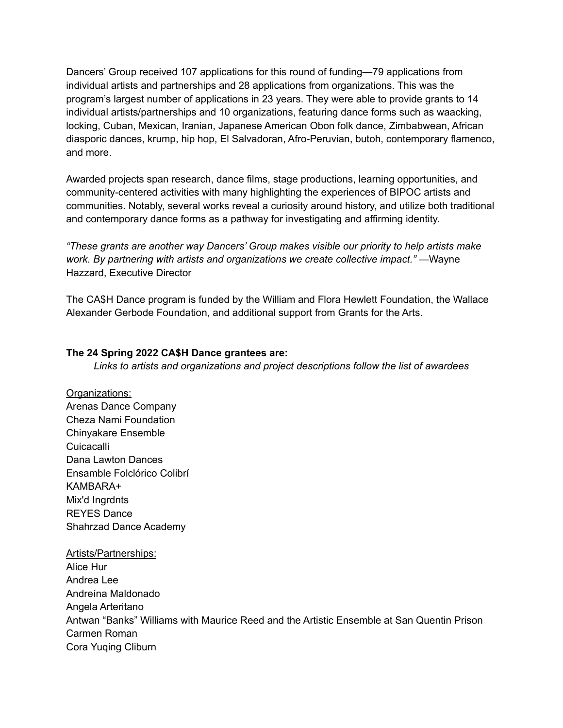Dancers' Group received 107 applications for this round of funding—79 applications from individual artists and partnerships and 28 applications from organizations. This was the program's largest number of applications in 23 years. They were able to provide grants to 14 individual artists/partnerships and 10 organizations, featuring dance forms such as waacking, locking, Cuban, Mexican, Iranian, Japanese American Obon folk dance, Zimbabwean, African diasporic dances, krump, hip hop, El Salvadoran, Afro-Peruvian, butoh, contemporary flamenco, and more.

Awarded projects span research, dance films, stage productions, learning opportunities, and community-centered activities with many highlighting the experiences of BIPOC artists and communities. Notably, several works reveal a curiosity around history, and utilize both traditional and contemporary dance forms as a pathway for investigating and affirming identity.

*"These grants are another way Dancers' Group makes visible our priority to help artists make work. By partnering with artists and organizations we create collective impact."* —Wayne Hazzard, Executive Director

The CA\$H Dance program is funded by the William and Flora Hewlett Foundation, the Wallace Alexander Gerbode Foundation, and additional support from Grants for the Arts.

#### **The 24 Spring 2022 CA\$H Dance grantees are:**

*Links to artists and organizations and project descriptions follow the list of awardees*

- Organizations: Arenas Dance Company Cheza Nami Foundation Chinyakare Ensemble Cuicacalli Dana Lawton Dances Ensamble Folclórico Colibrí KAMBARA+ Mix'd Ingrdnts REYES Dance Shahrzad Dance Academy
- Artists/Partnerships: Alice Hur Andrea Lee Andreína Maldonado Angela Arteritano Antwan "Banks" Williams with Maurice Reed and the Artistic Ensemble at San Quentin Prison Carmen Roman Cora Yuqing Cliburn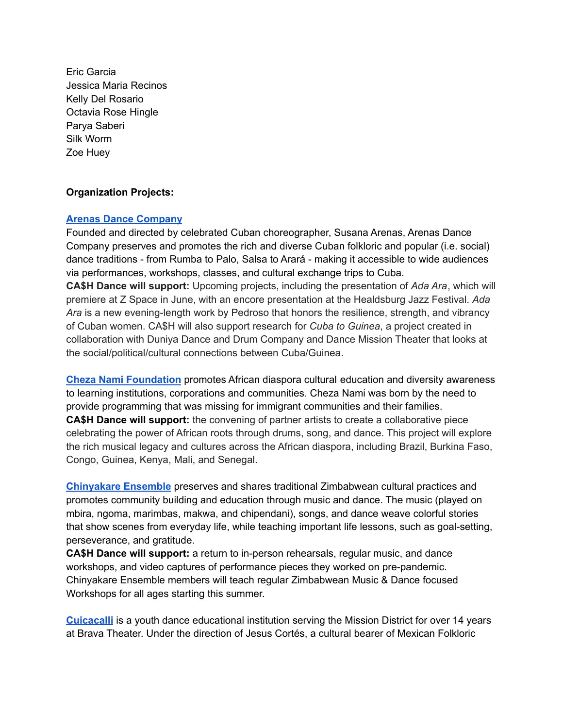Eric Garcia Jessica Maria Recinos Kelly Del Rosario Octavia Rose Hingle Parya Saberi Silk Worm Zoe Huey

# **Organization Projects:**

### **Arenas Dance [Company](https://arenasdancecompany.com/)**

Founded and directed by celebrated Cuban choreographer, Susana Arenas, Arenas Dance Company preserves and promotes the rich and diverse Cuban folkloric and popular (i.e. social) dance traditions - from Rumba to Palo, Salsa to Arará - making it accessible to wide audiences via performances, workshops, classes, and cultural exchange trips to Cuba.

**CA\$H Dance will support:** Upcoming projects, including the presentation of *Ada Ara*, which will premiere at Z Space in June, with an encore presentation at the Healdsburg Jazz Festival. *Ada Ara* is a new evening-length work by Pedroso that honors the resilience, strength, and vibrancy of Cuban women. CA\$H will also support research for *Cuba to Guinea*, a project created in collaboration with Duniya Dance and Drum Company and Dance Mission Theater that looks at the social/political/cultural connections between Cuba/Guinea.

**Cheza Nami [Foundation](http://www.chezanami.org)** promotes African diaspora cultural education and diversity awareness to learning institutions, corporations and communities. Cheza Nami was born by the need to provide programming that was missing for immigrant communities and their families. **CA\$H Dance will support:** the convening of partner artists to create a collaborative piece celebrating the power of African roots through drums, song, and dance. This project will explore the rich musical legacy and cultures across the African diaspora, including Brazil, Burkina Faso, Congo, Guinea, Kenya, Mali, and Senegal.

**[Chinyakare](http://www.chinyakare.com) Ensemble** preserves and shares traditional Zimbabwean cultural practices and promotes community building and education through music and dance. The music (played on mbira, ngoma, marimbas, makwa, and chipendani), songs, and dance weave colorful stories that show scenes from everyday life, while teaching important life lessons, such as goal-setting, perseverance, and gratitude.

**CA\$H Dance will support:** a return to in-person rehearsals, regular music, and dance workshops, and video captures of performance pieces they worked on pre-pandemic. Chinyakare Ensemble members will teach regular Zimbabwean Music & Dance focused Workshops for all ages starting this summer.

**[Cuicacalli](http://www.cuicacallisf.com)** is a youth dance educational institution serving the Mission District for over 14 years at Brava Theater. Under the direction of Jesus Cortés, a cultural bearer of Mexican Folkloric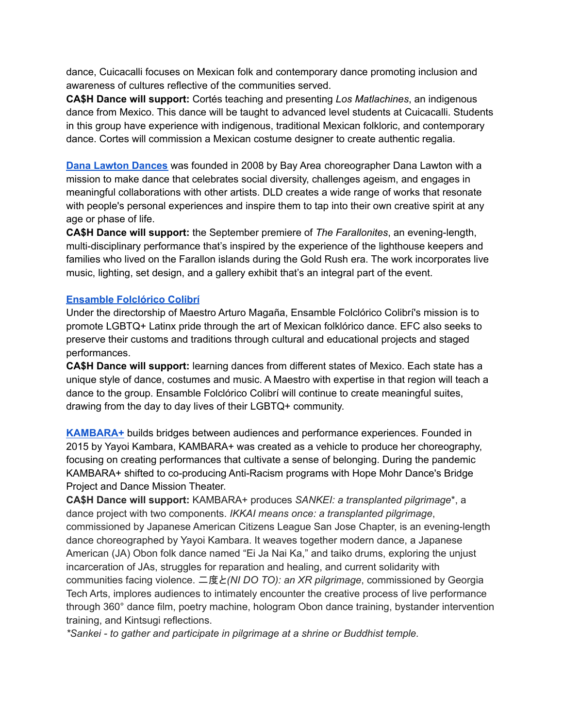dance, Cuicacalli focuses on Mexican folk and contemporary dance promoting inclusion and awareness of cultures reflective of the communities served.

**CA\$H Dance will support:** Cortés teaching and presenting *Los Matlachines*, an indigenous dance from Mexico. This dance will be taught to advanced level students at Cuicacalli. Students in this group have experience with indigenous, traditional Mexican folkloric, and contemporary dance. Cortes will commission a Mexican costume designer to create authentic regalia.

**Dana Lawton [Dances](https://danalawtondances.org)** was founded in 2008 by Bay Area choreographer Dana Lawton with a mission to make dance that celebrates social diversity, challenges ageism, and engages in meaningful collaborations with other artists. DLD creates a wide range of works that resonate with people's personal experiences and inspire them to tap into their own creative spirit at any age or phase of life.

**CA\$H Dance will support:** the September premiere of *The Farallonites*, an evening-length, multi-disciplinary performance that's inspired by the experience of the lighthouse keepers and families who lived on the Farallon islands during the Gold Rush era. The work incorporates live music, lighting, set design, and a gallery exhibit that's an integral part of the event.

### **Ensamble [Folclórico](http://www.folcloricocolibri.com) Colibrí**

Under the directorship of Maestro Arturo Magaña, Ensamble Folclórico Colibrí's mission is to promote LGBTQ+ Latinx pride through the art of Mexican folklórico dance. EFC also seeks to preserve their customs and traditions through cultural and educational projects and staged performances.

**CA\$H Dance will support:** learning dances from different states of Mexico. Each state has a unique style of dance, costumes and music. A Maestro with expertise in that region will teach a dance to the group. Ensamble Folclórico Colibrí will continue to create meaningful suites, drawing from the day to day lives of their LGBTQ+ community.

**[KAMBARA+](https://www.kambaraplus.org)** builds bridges between audiences and performance experiences. Founded in 2015 by Yayoi Kambara, KAMBARA+ was created as a vehicle to produce her choreography, focusing on creating performances that cultivate a sense of belonging. During the pandemic KAMBARA+ shifted to co-producing Anti-Racism programs with Hope Mohr Dance's Bridge Project and Dance Mission Theater.

**CA\$H Dance will support:** KAMBARA+ produces *SANKEI: a transplanted pilgrimage*\*, a dance project with two components. *IKKAI means once: a transplanted pilgrimage*, commissioned by Japanese American Citizens League San Jose Chapter, is an evening-length dance choreographed by Yayoi Kambara. It weaves together modern dance, a Japanese American (JA) Obon folk dance named "Ei Ja Nai Ka," and taiko drums, exploring the unjust incarceration of JAs, struggles for reparation and healing, and current solidarity with communities facing violence. 二度と*(NI DO TO): an XR pilgrimage*, commissioned by Georgia Tech Arts, implores audiences to intimately encounter the creative process of live performance through 360° dance film, poetry machine, hologram Obon dance training, bystander intervention training, and Kintsugi reflections.

*\*Sankei - to gather and participate in pilgrimage at a shrine or Buddhist temple.*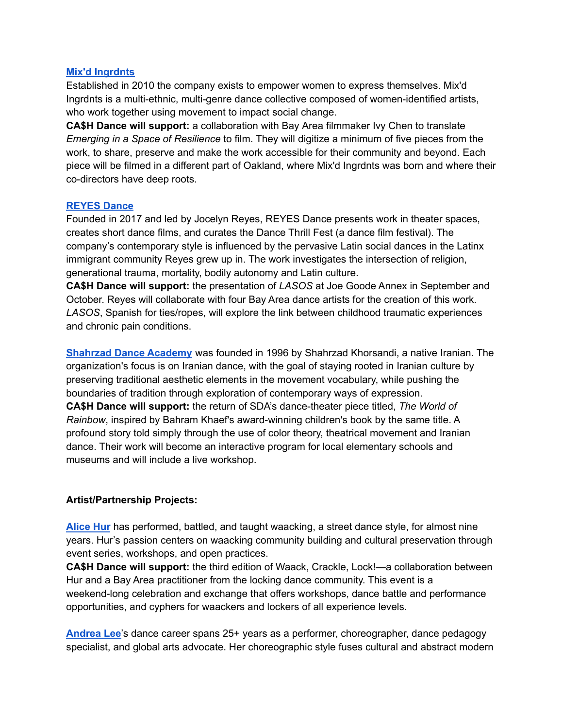#### **Mix'd [Ingrdnts](http://www.mixdingrdnts.com)**

Established in 2010 the company exists to empower women to express themselves. Mix'd Ingrdnts is a multi-ethnic, multi-genre dance collective composed of women-identified artists, who work together using movement to impact social change.

**CA\$H Dance will support:** a collaboration with Bay Area filmmaker Ivy Chen to translate *Emerging in a Space of Resilience* to film. They will digitize a minimum of five pieces from the work, to share, preserve and make the work accessible for their community and beyond. Each piece will be filmed in a different part of Oakland, where Mix'd Ingrdnts was born and where their co-directors have deep roots.

#### **[REYES](http://reyesdance.com) Dance**

Founded in 2017 and led by Jocelyn Reyes, REYES Dance presents work in theater spaces, creates short dance films, and curates the Dance Thrill Fest (a dance film festival). The company's contemporary style is influenced by the pervasive Latin social dances in the Latinx immigrant community Reyes grew up in. The work investigates the intersection of religion, generational trauma, mortality, bodily autonomy and Latin culture.

**CA\$H Dance will support:** the presentation of *LASOS* at Joe Goode Annex in September and October. Reyes will collaborate with four Bay Area dance artists for the creation of this work. *LASOS*, Spanish for ties/ropes, will explore the link between childhood traumatic experiences and chronic pain conditions.

**[Shahrzad](http://www.shahrzadance.com) Dance Academy** was founded in 1996 by Shahrzad Khorsandi, a native Iranian. The organization's focus is on Iranian dance, with the goal of staying rooted in Iranian culture by preserving traditional aesthetic elements in the movement vocabulary, while pushing the boundaries of tradition through exploration of contemporary ways of expression. **CA\$H Dance will support:** the return of SDA's dance-theater piece titled, *The World of Rainbow*, inspired by Bahram Khaef's award-winning children's book by the same title. A profound story told simply through the use of color theory, theatrical movement and Iranian dance. Their work will become an interactive program for local elementary schools and museums and will include a live workshop.

### **Artist/Partnership Projects:**

**[Alice](https://instagram.com/waackcracklelock) Hur** has performed, battled, and taught waacking, a street dance style, for almost nine years. Hur's passion centers on waacking community building and cultural preservation through event series, workshops, and open practices.

**CA\$H Dance will support:** the third edition of Waack, Crackle, Lock!—a collaboration between Hur and a Bay Area practitioner from the locking dance community. This event is a weekend-long celebration and exchange that offers workshops, dance battle and performance opportunities, and cyphers for waackers and lockers of all experience levels.

**[Andrea](http://www.culturallinks.org) Lee**'s dance career spans 25+ years as a performer, choreographer, dance pedagogy specialist, and global arts advocate. Her choreographic style fuses cultural and abstract modern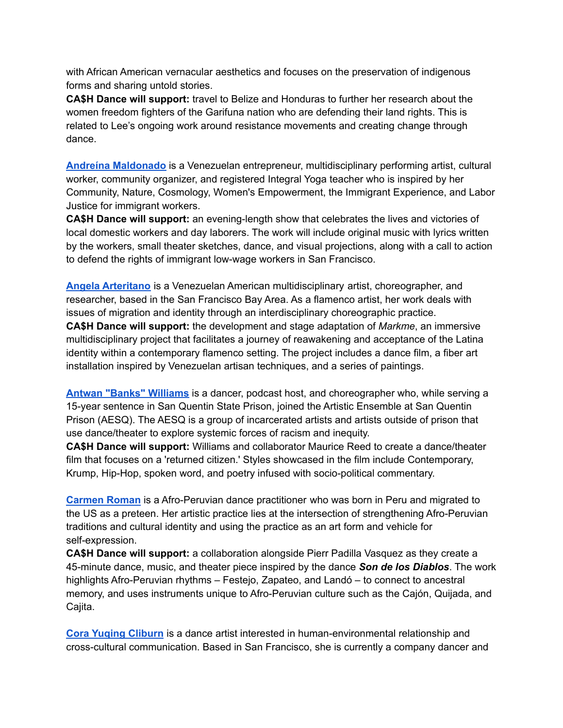with African American vernacular aesthetics and focuses on the preservation of indigenous forms and sharing untold stories.

**CA\$H Dance will support:** travel to Belize and Honduras to further her research about the women freedom fighters of the Garifuna nation who are defending their land rights. This is related to Lee's ongoing work around resistance movements and creating change through dance.

**Andreína [Maldonado](http://www.andreinamaldonado.com/)** is a Venezuelan entrepreneur, multidisciplinary performing artist, cultural worker, community organizer, and registered Integral Yoga teacher who is inspired by her Community, Nature, Cosmology, Women's Empowerment, the Immigrant Experience, and Labor Justice for immigrant workers.

**CA\$H Dance will support:** an evening-length show that celebrates the lives and victories of local domestic workers and day laborers. The work will include original music with lyrics written by the workers, small theater sketches, dance, and visual projections, along with a call to action to defend the rights of immigrant low-wage workers in San Francisco.

**Angela [Arteritano](https://www.instagram.com/angelaarteritano/)** is a Venezuelan American multidisciplinary artist, choreographer, and researcher, based in the San Francisco Bay Area. As a flamenco artist, her work deals with issues of migration and identity through an interdisciplinary choreographic practice.

**CA\$H Dance will support:** the development and stage adaptation of *Markme*, an immersive multidisciplinary project that facilitates a journey of reawakening and acceptance of the Latina identity within a contemporary flamenco setting. The project includes a dance film, a fiber art installation inspired by Venezuelan artisan techniques, and a series of paintings.

**Antwan "Banks" [Williams](https://www.instagram.com/antwan_banks_williams/)** is a dancer, podcast host, and choreographer who, while serving a 15-year sentence in San Quentin State Prison, joined the Artistic Ensemble at San Quentin Prison (AESQ). The AESQ is a group of incarcerated artists and artists outside of prison that use dance/theater to explore systemic forces of racism and inequity.

**CA\$H Dance will support:** Williams and collaborator Maurice Reed to create a dance/theater film that focuses on a 'returned citizen.' Styles showcased in the film include Contemporary, Krump, Hip-Hop, spoken word, and poetry infused with socio-political commentary.

**[Carmen](http://www.cunamacue.org) Roman** is a Afro-Peruvian dance practitioner who was born in Peru and migrated to the US as a preteen. Her artistic practice lies at the intersection of strengthening Afro-Peruvian traditions and cultural identity and using the practice as an art form and vehicle for self-expression.

**CA\$H Dance will support:** a collaboration alongside Pierr Padilla Vasquez as they create a 45-minute dance, music, and theater piece inspired by the dance *Son de los Diablos*. The work highlights Afro-Peruvian rhythms – Festejo, Zapateo, and Landó – to connect to ancestral memory, and uses instruments unique to Afro-Peruvian culture such as the Cajón, Quijada, and Cajita.

**Cora Yuqing [Cliburn](http://www.coracliburn.com/)** is a dance artist interested in human-environmental relationship and cross-cultural communication. Based in San Francisco, she is currently a company dancer and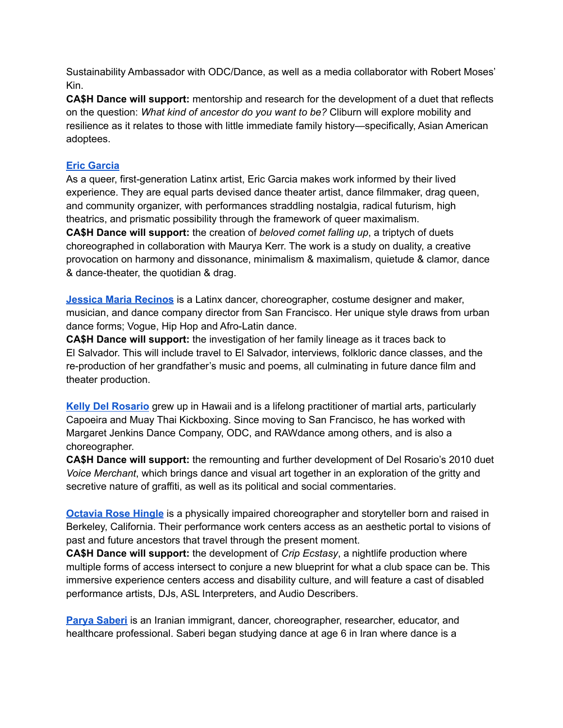Sustainability Ambassador with ODC/Dance, as well as a media collaborator with Robert Moses' Kin.

**CA\$H Dance will support:** mentorship and research for the development of a duet that reflects on the question: *What kind of ancestor do you want to be?* Cliburn will explore mobility and resilience as it relates to those with little immediate family history—specifically, Asian American adoptees.

# **Eric [Garcia](https://www.instagram.com/churro_nomi/)**

As a queer, first-generation Latinx artist, Eric Garcia makes work informed by their lived experience. They are equal parts devised dance theater artist, dance filmmaker, drag queen, and community organizer, with performances straddling nostalgia, radical futurism, high theatrics, and prismatic possibility through the framework of queer maximalism.

**CA\$H Dance will support:** the creation of *beloved comet falling up*, a triptych of duets choreographed in collaboration with Maurya Kerr. The work is a study on duality, a creative provocation on harmony and dissonance, minimalism & maximalism, quietude & clamor, dance & dance-theater, the quotidian & drag.

**Jessica Maria [Recinos](https://www.instagram.com/jessicamariarecinos/)** is a Latinx dancer, choreographer, costume designer and maker, musician, and dance company director from San Francisco. Her unique style draws from urban dance forms; Vogue, Hip Hop and Afro-Latin dance.

**CA\$H Dance will support:** the investigation of her family lineage as it traces back to El Salvador. This will include travel to El Salvador, interviews, folkloric dance classes, and the re-production of her grandfather's music and poems, all culminating in future dance film and theater production.

**Kelly Del [Rosario](https://www.kellydelrosario.com)** grew up in Hawaii and is a lifelong practitioner of martial arts, particularly Capoeira and Muay Thai Kickboxing. Since moving to San Francisco, he has worked with Margaret Jenkins Dance Company, ODC, and RAWdance among others, and is also a choreographer.

**CA\$H Dance will support:** the remounting and further development of Del Rosario's 2010 duet *Voice Merchant*, which brings dance and visual art together in an exploration of the gritty and secretive nature of graffiti, as well as its political and social commentaries.

**[Octavia](http://vimeo.com/octaviarose) Rose Hingle** is a physically impaired choreographer and storyteller born and raised in Berkeley, California. Their performance work centers access as an aesthetic portal to visions of past and future ancestors that travel through the present moment.

**CA\$H Dance will support:** the development of *Crip Ecstasy*, a nightlife production where multiple forms of access intersect to conjure a new blueprint for what a club space can be. This immersive experience centers access and disability culture, and will feature a cast of disabled performance artists, DJs, ASL Interpreters, and Audio Describers.

**Parya [Saberi](https://www.parya.dance/)** is an Iranian immigrant, dancer, choreographer, researcher, educator, and healthcare professional. Saberi began studying dance at age 6 in Iran where dance is a